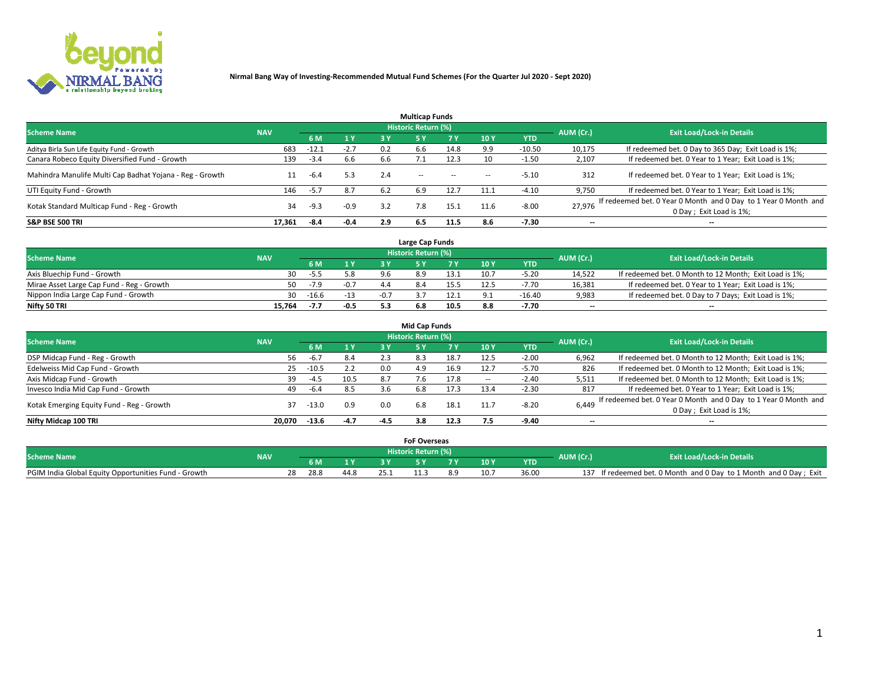

|                                                          |            |         |        |     | <b>Multicap Funds</b> |           |      |            |                          |                                                                                             |
|----------------------------------------------------------|------------|---------|--------|-----|-----------------------|-----------|------|------------|--------------------------|---------------------------------------------------------------------------------------------|
| <b>Scheme Name</b>                                       | <b>NAV</b> |         |        |     | Historic Return (%)   |           |      |            | AUM (Cr.)                | <b>Exit Load/Lock-in Details</b>                                                            |
|                                                          |            | 6 M     | 1 Y    | 3 Y |                       | <b>7Y</b> | 10Y  | <b>YTD</b> |                          |                                                                                             |
| Aditya Birla Sun Life Equity Fund - Growth               | 683        | $-12.1$ | $-2.7$ | 0.2 | 6.6                   | 14.8      | 9.9  | $-10.50$   | 10,175                   | If redeemed bet. 0 Day to 365 Day; Exit Load is 1%;                                         |
| Canara Robeco Equity Diversified Fund - Growth           | 139        | $-3.4$  | 6.6    | 6.6 |                       | 12.3      | 10   | -1.50      | 2,107                    | If redeemed bet. 0 Year to 1 Year; Exit Load is 1%;                                         |
| Mahindra Manulife Multi Cap Badhat Yojana - Reg - Growth |            | $-6.4$  | 5.3    | 2.4 | $\sim$ $-$            | $\sim$    | --   | $-5.10$    | 312                      | If redeemed bet. 0 Year to 1 Year; Exit Load is 1%;                                         |
| UTI Equity Fund - Growth                                 | 146        | $-5.7$  | 8.7    | 6.2 | 6.9                   | 12.7      | 11.1 | $-4.10$    | 9,750                    | If redeemed bet. 0 Year to 1 Year; Exit Load is 1%;                                         |
| Kotak Standard Multicap Fund - Reg - Growth              | 34         | $-9.3$  | $-0.9$ | 3.2 | 7.8                   | 15.1      | 11.6 | $-8.00$    | 27.976                   | If redeemed bet. 0 Year 0 Month and 0 Day to 1 Year 0 Month and<br>0 Day ; Exit Load is 1%; |
| <b>S&amp;P BSE 500 TRI</b>                               | 17.361     | -8.4    | -0.4   | 2.9 | 6.5                   | 11.5      | 8.6  | $-7.30$    | $\overline{\phantom{a}}$ | $- -$                                                                                       |

|                                           |            |         |              | Large Cap Funds     |      |      |            |                          |                                                        |
|-------------------------------------------|------------|---------|--------------|---------------------|------|------|------------|--------------------------|--------------------------------------------------------|
| <b>Scheme Name</b>                        | <b>NAV</b> |         |              | Historic Return (%) |      |      |            | AUM (Cr.)                | <b>Exit Load/Lock-in Details</b>                       |
|                                           |            |         | $\sqrt{1}$ Y |                     |      | 10 Y | <b>YTD</b> |                          |                                                        |
| Axis Bluechip Fund - Growth               | 30         | -5.5    | 5.8          |                     | 13.1 | 10.7 | $-5.20$    | 14,522                   | If redeemed bet. 0 Month to 12 Month; Exit Load is 1%; |
| Mirae Asset Large Cap Fund - Reg - Growth | 50.        | $-7.9$  | $-0.7$       |                     | 15.5 | 12.5 | $-7.70$    | 16,381                   | If redeemed bet. 0 Year to 1 Year; Exit Load is 1%;    |
| Nippon India Large Cap Fund - Growth      | 30         | $-16.6$ | $-13$        |                     |      |      | $-16.40$   | 9,983                    | If redeemed bet. 0 Day to 7 Days; Exit Load is 1%;     |
| Nifty 50 TRI                              | 15.764     | -7.7    | $-0.5$       |                     | 10.5 | 8.8  | $-7.70$    | $\overline{\phantom{a}}$ | $- -$                                                  |

|                                           |            |         |        |        | <b>Mid Cap Funds</b>       |      |            |            |                          |                                                                                            |
|-------------------------------------------|------------|---------|--------|--------|----------------------------|------|------------|------------|--------------------------|--------------------------------------------------------------------------------------------|
| <b>Scheme Name</b>                        | <b>NAV</b> |         |        |        | <b>Historic Return (%)</b> |      |            |            | AUM (Cr.)                | <b>Exit Load/Lock-in Details</b>                                                           |
|                                           |            | 6 M     | 1 Y    | 3 Y    |                            | 7 V  | <b>10Y</b> | <b>YTD</b> |                          |                                                                                            |
| DSP Midcap Fund - Reg - Growth            | 56         | $-6.7$  | 8.4    | 2.3    | 8.3                        | 18.7 | 12.5       | $-2.00$    | 6,962                    | If redeemed bet. 0 Month to 12 Month; Exit Load is 1%;                                     |
| Edelweiss Mid Cap Fund - Growth           | 25         | $-10.5$ | 2.2    | 0.0    | 4.9                        | 16.9 | 12.7       | $-5.70$    | 826                      | If redeemed bet. 0 Month to 12 Month; Exit Load is 1%;                                     |
| Axis Midcap Fund - Growth                 | 39         | $-4.5$  | 10.5   | 8.7    |                            | 17.8 |            | $-2.40$    | 5,511                    | If redeemed bet. 0 Month to 12 Month; Exit Load is 1%;                                     |
| Invesco India Mid Cap Fund - Growth       | 49         | $-6.4$  | 8.5    | .3.b   | 6.8                        | 17.3 | 13.4       | $-2.30$    | 817                      | If redeemed bet. 0 Year to 1 Year; Exit Load is 1%;                                        |
| Kotak Emerging Equity Fund - Reg - Growth | 37         | -13.0   | 0.9    | 0.0    | 6.8                        | 18.1 | 11.7       | $-8.20$    | 6,449                    | If redeemed bet. 0 Year 0 Month and 0 Day to 1 Year 0 Month and<br>0 Day; Exit Load is 1%; |
| Nifty Midcap 100 TRI                      | 20.070     | $-13.6$ | $-4.7$ | $-4.5$ | 3.8                        | 12.3 | 7.5        | $-9.40$    | $\overline{\phantom{a}}$ | $\overline{\phantom{a}}$                                                                   |

|                                                      |            |            |      | <b>FoF Overseas</b>   |   |      |            |           |                                                               |
|------------------------------------------------------|------------|------------|------|-----------------------|---|------|------------|-----------|---------------------------------------------------------------|
| <b>Scheme Name</b>                                   | <b>NAV</b> |            |      | ۱ Historic Return (%) |   |      |            | AUM (Cr.) | <b>Exit Load/Lock-in Details</b>                              |
|                                                      |            |            |      |                       | - | 10 Y | <b>YTD</b> |           |                                                               |
| PGIM India Global Equity Opportunities Fund - Growth |            | 28.8<br>28 | 44.8 |                       |   | 10.  | 36.00      | 137       | If redeemed bet. 0 Month and 0 Day to 1 Month and 0 Day; Exit |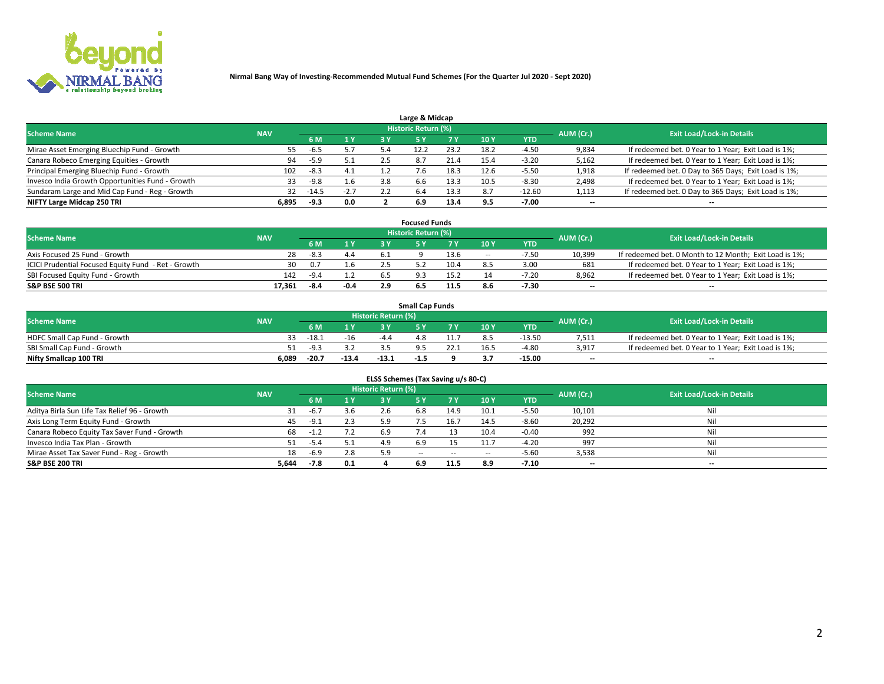

| Large & Midcap                                   |            |        |                |     |                     |      |            |            |           |                                                      |  |  |  |  |
|--------------------------------------------------|------------|--------|----------------|-----|---------------------|------|------------|------------|-----------|------------------------------------------------------|--|--|--|--|
| <b>Scheme Name</b>                               | <b>NAV</b> |        |                |     | Historic Return (%) |      |            |            | AUM (Cr.) | <b>Exit Load/Lock-in Details</b>                     |  |  |  |  |
|                                                  |            | 6 M    | 1 <sup>Y</sup> | R Y |                     |      | <b>10Y</b> | <b>YTD</b> |           |                                                      |  |  |  |  |
| Mirae Asset Emerging Bluechip Fund - Growth      | 55         | -6.5   | 5.7            |     |                     | 23.2 | 18.2       | $-4.50$    | 9,834     | If redeemed bet. 0 Year to 1 Year; Exit Load is 1%;  |  |  |  |  |
| Canara Robeco Emerging Equities - Growth         | 94         | -5.9   | 5.1            |     | 8.7                 | 21.4 | 15.4       | $-3.20$    | 5,162     | If redeemed bet. 0 Year to 1 Year; Exit Load is 1%;  |  |  |  |  |
| Principal Emerging Bluechip Fund - Growth        | 102        | $-8.3$ | 4.1            |     |                     | 18.3 | 12.6       | $-5.50$    | 1,918     | If redeemed bet. 0 Day to 365 Days; Exit Load is 1%; |  |  |  |  |
| Invesco India Growth Opportunities Fund - Growth | 33         | -9.8   | 1.6            | 3.8 | 6.6                 | 13.3 | 10.5       | $-8.30$    | 2,498     | If redeemed bet. 0 Year to 1 Year; Exit Load is 1%;  |  |  |  |  |
| Sundaram Large and Mid Cap Fund - Reg - Growth   | 32         | -14.5  | $-2.7$         |     | 6.4                 | 13.3 |            | $-12.60$   | 1,113     | If redeemed bet. 0 Day to 365 Days; Exit Load is 1%; |  |  |  |  |
| NIFTY Large Midcap 250 TRI                       | 6.895      | -9.3   | 0.0            |     | 6.9                 | 13.4 | 9.5        | -7.00      | $- -$     | $- -$                                                |  |  |  |  |

|                                                     |            |        |      |      | <b>Focused Funds</b>       |      |        |            |                          |                                                        |
|-----------------------------------------------------|------------|--------|------|------|----------------------------|------|--------|------------|--------------------------|--------------------------------------------------------|
| <b>Scheme Name</b>                                  | <b>NAV</b> |        |      |      | <b>Historic Return (%)</b> |      |        |            | AUM (Cr.)                | <b>Exit Load/Lock-in Details</b>                       |
|                                                     |            | 6 M    | 1 V  |      |                            |      | 10 Y   | <b>YTD</b> |                          |                                                        |
| Axis Focused 25 Fund - Growth                       | 28         | $-8.3$ | 4.4  | -6.1 |                            | 13.6 | $\sim$ | $-7.50$    | 10,399                   | If redeemed bet. 0 Month to 12 Month; Exit Load is 1%; |
| ICICI Prudential Focused Equity Fund - Ret - Growth | 30         | 0.7    | 1.6  |      |                            | 10.4 |        | 3.00       | 681                      | If redeemed bet. 0 Year to 1 Year; Exit Load is 1%;    |
| SBI Focused Equity Fund - Growth                    | 142        | $-9.4$ |      |      |                            |      |        | $-7.20$    | 8,962                    | If redeemed bet. 0 Year to 1 Year; Exit Load is 1%;    |
| S&P BSE 500 TRI                                     | 17.361     | -8.4   | -0.4 |      |                            | 11.5 |        | $-7.30$    | $\overline{\phantom{a}}$ | $- -$                                                  |

|                              |            |         |         |                     | <b>Small Cap Funds</b> |                 |            |           |                                                     |
|------------------------------|------------|---------|---------|---------------------|------------------------|-----------------|------------|-----------|-----------------------------------------------------|
| <b>Scheme Name</b>           | <b>NAV</b> |         |         | Historic Return (%) |                        |                 |            | AUM (Cr.) | <b>Exit Load/Lock-in Details</b>                    |
|                              |            | 6 M     | 1 Y     |                     |                        | 10 <sub>Y</sub> | <b>YTD</b> |           |                                                     |
| HDFC Small Cap Fund - Growth |            | $-18.1$ | $-16$   | -4                  | 4.8                    |                 | $-13.50$   | 7,511     | If redeemed bet. 0 Year to 1 Year; Exit Load is 1%; |
| SBI Small Cap Fund - Growth  |            | $-9.2$  |         |                     |                        |                 | $-4.80$    | 3,917     | If redeemed bet. 0 Year to 1 Year; Exit Load is 1%; |
| Nifty Smallcap 100 TRI       | 6.089      | $-20.7$ | $-13.4$ | $-13.1$             | -1.5                   |                 | -15.00     | $-$       | $- -$                                               |

| ELSS Schemes (Tax Saving u/s 80-C)           |            |        |     |                            |             |        |        |            |           |                                  |  |  |  |  |
|----------------------------------------------|------------|--------|-----|----------------------------|-------------|--------|--------|------------|-----------|----------------------------------|--|--|--|--|
| <b>Scheme Name</b>                           | <b>NAV</b> |        |     | <b>Historic Return (%)</b> |             |        |        |            | AUM (Cr.) | <b>Exit Load/Lock-in Details</b> |  |  |  |  |
|                                              |            | 6 M    |     |                            |             | 7 Y    | 10 Y   | <b>YTD</b> |           |                                  |  |  |  |  |
| Aditya Birla Sun Life Tax Relief 96 - Growth |            | -6.7   | 3.6 |                            | 6.8         | 14.9   | 10.1   | $-5.50$    | 10,101    | Nil                              |  |  |  |  |
| Axis Long Term Equity Fund - Growth          | 45         | $-9.1$ | 2.3 | 5.9                        | - 5         | 16.7   | 14.5   | $-8.60$    | 20,292    | Nil                              |  |  |  |  |
| Canara Robeco Equity Tax Saver Fund - Growth | 68         | -1.2   | 7.2 | 6.9                        | $\sqrt{.4}$ |        | 10.4   | $-0.40$    | 992       | Nil                              |  |  |  |  |
| Invesco India Tax Plan - Growth              |            | $-5.4$ |     |                            | 6.9         |        | 11.7   | $-4.20$    | 997       | Nil                              |  |  |  |  |
| Mirae Asset Tax Saver Fund - Reg - Growth    | 18         | $-6.9$ | 2.8 | 5.9                        | $\sim$ $-$  | $\sim$ | $\sim$ | $-5.60$    | 3,538     | Nil                              |  |  |  |  |
| S&P BSE 200 TRI                              | 5,644      | $-7.8$ | 0.1 |                            | 6.9         | 11.5   | 8.9    | $-7.10$    | --        | $- -$                            |  |  |  |  |

# 2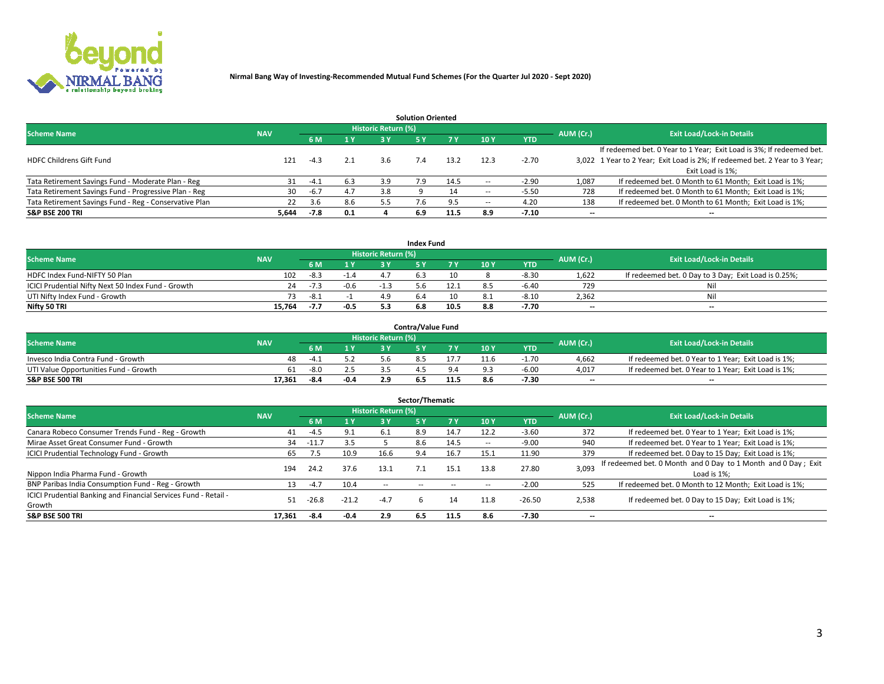

| <b>Solution Oriented</b>                               |            |            |     |                            |     |      |                          |            |                          |                                                                             |  |  |  |  |
|--------------------------------------------------------|------------|------------|-----|----------------------------|-----|------|--------------------------|------------|--------------------------|-----------------------------------------------------------------------------|--|--|--|--|
| <b>Scheme Name</b>                                     | <b>NAV</b> |            |     | <b>Historic Return (%)</b> |     |      |                          |            | AUM (Cr.)                | <b>Exit Load/Lock-in Details</b>                                            |  |  |  |  |
|                                                        |            | <b>6 M</b> | 1 Y | 3 ۷                        |     |      | 10Y                      | <b>YTD</b> |                          |                                                                             |  |  |  |  |
|                                                        |            |            |     |                            |     |      |                          |            |                          | If redeemed bet. 0 Year to 1 Year; Exit Load is 3%; If redeemed bet.        |  |  |  |  |
| <b>HDFC Childrens Gift Fund</b>                        | 121        | $-4.3$     | 2.1 | 3.6                        |     | 13.2 | 12.3                     | $-2.70$    |                          | 3,022 1 Year to 2 Year; Exit Load is 2%; If redeemed bet. 2 Year to 3 Year; |  |  |  |  |
|                                                        |            |            |     |                            |     |      |                          |            |                          | Exit Load is 1%:                                                            |  |  |  |  |
| Tata Retirement Savings Fund - Moderate Plan - Reg     | 31         | $-4.1$     | 6.3 | 3.9                        | 7.9 | 14.5 | --                       | $-2.90$    | 1,087                    | If redeemed bet. 0 Month to 61 Month; Exit Load is 1%;                      |  |  |  |  |
| Tata Retirement Savings Fund - Progressive Plan - Reg  | 30         | $-6.7$     | 4.7 | 3.8                        |     | 14   | $\overline{\phantom{a}}$ | $-5.50$    | 728                      | If redeemed bet. 0 Month to 61 Month; Exit Load is 1%;                      |  |  |  |  |
| Tata Retirement Savings Fund - Reg - Conservative Plan | 22         | 3.6        | 8.6 | 5.5                        |     |      | --                       | 4.20       | 138                      | If redeemed bet. 0 Month to 61 Month; Exit Load is 1%;                      |  |  |  |  |
| S&P BSE 200 TRI                                        | 5,644      | $-7.8$     | 0.1 |                            | 6.9 | 11.5 | 8.9                      | $-7.10$    | $\overline{\phantom{a}}$ | $- -$                                                                       |  |  |  |  |

|                                                    |            |        |                |                     | <b>Index Fund</b> |      |      |            |                          |                                                      |
|----------------------------------------------------|------------|--------|----------------|---------------------|-------------------|------|------|------------|--------------------------|------------------------------------------------------|
| <b>Scheme Name</b>                                 | <b>NAV</b> |        |                | Historic Return (%) |                   |      |      |            | AUM (Cr.)                | <b>Exit Load/Lock-in Details</b>                     |
|                                                    |            |        | $\sqrt{1}$ $V$ | 2 V                 |                   | 7 V  | 10 Y | <b>YTD</b> |                          |                                                      |
| HDFC Index Fund-NIFTY 50 Plan                      | 102        | $-8.3$ | $-1.4$         |                     |                   | 10   |      | $-8.3C$    | 1,622                    | If redeemed bet. 0 Day to 3 Day; Exit Load is 0.25%; |
| ICICI Prudential Nifty Next 50 Index Fund - Growth | 24         | $-7.3$ | $-0.6$         |                     |                   |      |      | $-6.40$    | 729                      | Nil                                                  |
| UTI Nifty Index Fund - Growth                      |            | $-8.1$ |                |                     |                   |      |      | $-8.10$    | 2,362                    | Nil                                                  |
| Nifty 50 TRI                                       | 15.764     | -7.7   | $-0.5$         |                     | 6.8               | 10.5 | 8.8  | $-7.70$    | $\overline{\phantom{a}}$ | $- -$                                                |

|                                       |            |      |        |                            | <b>Contra/Value Fund</b> |      |     |            |                          |                                                     |
|---------------------------------------|------------|------|--------|----------------------------|--------------------------|------|-----|------------|--------------------------|-----------------------------------------------------|
| <b>Scheme Name</b>                    | <b>NAV</b> |      |        | <b>Historic Return (%)</b> |                          |      |     |            | AUM (Cr.)                | <b>Exit Load/Lock-in Details</b>                    |
|                                       |            |      | 1 V    |                            |                          | 7 V  | 10Y | <b>YTD</b> |                          |                                                     |
| Invesco India Contra Fund - Growth    | 48         | -4   |        |                            |                          |      |     | $-1.70$    | 4,662                    | If redeemed bet. 0 Year to 1 Year; Exit Load is 1%; |
| UTI Value Opportunities Fund - Growth | 61         | -8.0 |        |                            |                          |      |     | $-6.00$    | 4,017                    | If redeemed bet. 0 Year to 1 Year; Exit Load is 1%; |
| <b>S&amp;P BSE 500 TRI</b>            | 17.361     | -8.4 | $-0.4$ |                            |                          | 11.5 |     | -7.30      | $\overline{\phantom{a}}$ | $- -$                                               |

| Sector/Thematic                                                           |            |         |         |                     |            |      |      |            |                          |                                                                              |  |  |  |
|---------------------------------------------------------------------------|------------|---------|---------|---------------------|------------|------|------|------------|--------------------------|------------------------------------------------------------------------------|--|--|--|
| <b>Scheme Name</b>                                                        | <b>NAV</b> |         |         | Historic Return (%) |            |      |      |            | AUM (Cr.)                | <b>Exit Load/Lock-in Details</b>                                             |  |  |  |
|                                                                           |            | 6 M     | 1 Y     | 3 Y                 | 5 Y        |      | 10Y  | <b>YTD</b> |                          |                                                                              |  |  |  |
| Canara Robeco Consumer Trends Fund - Reg - Growth                         | 41         | $-4.5$  | 9.1     | -6.1                | 8.9        | 14.7 | 12.2 | $-3.60$    | 372                      | If redeemed bet. 0 Year to 1 Year; Exit Load is 1%;                          |  |  |  |
| Mirae Asset Great Consumer Fund - Growth                                  | 34         | -11.7   | 3.5     |                     | 8.6        | 14.5 | -    | $-9.00$    | 940                      | If redeemed bet. 0 Year to 1 Year; Exit Load is 1%;                          |  |  |  |
| <b>ICICI Prudential Technology Fund - Growth</b>                          | 65         | 7.5     | 10.9    | 16.6                | 9.4        | 16.7 | 15.1 | 11.90      | 379                      | If redeemed bet. 0 Day to 15 Day; Exit Load is 1%;                           |  |  |  |
| Nippon India Pharma Fund - Growth                                         | 194        | 24.2    | 37.6    | 13.1                |            | 15.1 | 13.8 | 27.80      | 3,093                    | If redeemed bet. 0 Month and 0 Day to 1 Month and 0 Day; Exit<br>Load is 1%: |  |  |  |
| BNP Paribas India Consumption Fund - Reg - Growth                         | 13         | $-4.7$  | 10.4    | $\sim$ $-$          | $\sim$ $-$ |      | --   | $-2.00$    | 525                      | If redeemed bet. 0 Month to 12 Month; Exit Load is 1%;                       |  |  |  |
| ICICI Prudential Banking and Financial Services Fund - Retail -<br>Growth | 51         | $-26.8$ | $-21.2$ | $-4.7$              |            | 14   | 11.8 | $-26.50$   | 2,538                    | If redeemed bet. 0 Day to 15 Day; Exit Load is 1%;                           |  |  |  |
| <b>S&amp;P BSE 500 TRI</b>                                                | 17.361     | -8.4    | -0.4    | 2.9                 | 6.5        | 11.5 | 8.6  | $-7.30$    | $\overline{\phantom{a}}$ | $- -$                                                                        |  |  |  |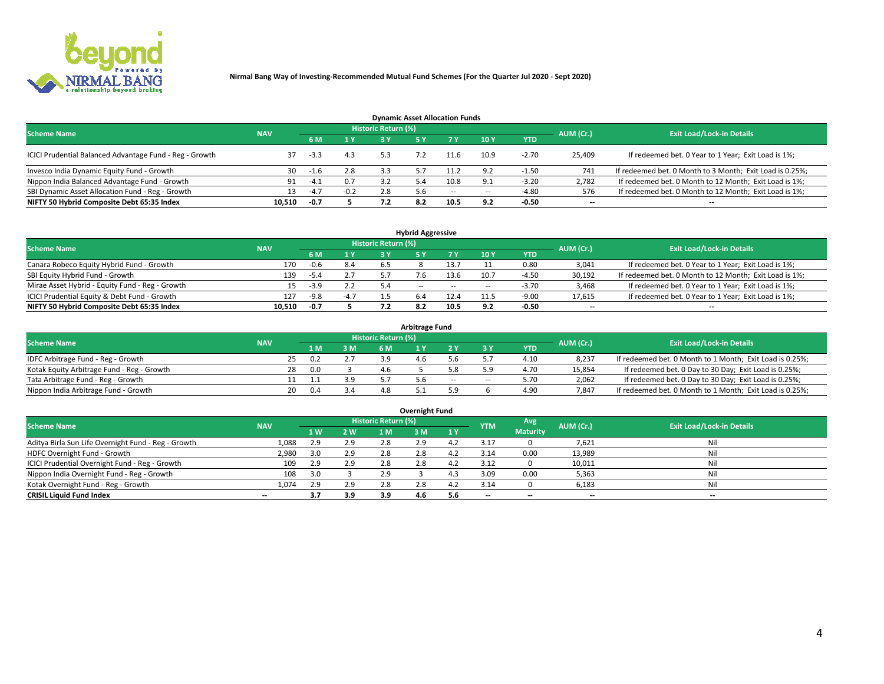

| <b>Dynamic Asset Allocation Funds</b>                   |                                                                |        |        |     |     |                          |                |            |                          |                                                          |  |  |  |  |  |
|---------------------------------------------------------|----------------------------------------------------------------|--------|--------|-----|-----|--------------------------|----------------|------------|--------------------------|----------------------------------------------------------|--|--|--|--|--|
|                                                         | <b>Historic Return (%)</b><br><b>Scheme Name</b><br><b>NAV</b> |        |        |     |     |                          |                |            |                          |                                                          |  |  |  |  |  |
|                                                         |                                                                | 6 M    | 1 Y    | 3 V |     |                          | 10Y            | <b>YTD</b> | AUM (Cr.)                | <b>Exit Load/Lock-in Details</b>                         |  |  |  |  |  |
| ICICI Prudential Balanced Advantage Fund - Reg - Growth |                                                                | $-3.3$ | 4.3    |     |     |                          | 10.9           | $-2.70$    | 25,409                   | If redeemed bet. 0 Year to 1 Year; Exit Load is 1%;      |  |  |  |  |  |
| Invesco India Dynamic Equity Fund - Growth              | 30                                                             | -1.6   | 2.8    | 3.3 |     | 11.2                     | 9.2            | $-1.50$    | 741                      | If redeemed bet. 0 Month to 3 Month; Exit Load is 0.25%; |  |  |  |  |  |
| Nippon India Balanced Advantage Fund - Growth           | 91                                                             | $-4.1$ | 0.7    |     |     | 10.8                     | Q <sub>1</sub> | $-3.20$    | 2,782                    | If redeemed bet. 0 Month to 12 Month; Exit Load is 1%;   |  |  |  |  |  |
| SBI Dynamic Asset Allocation Fund - Reg - Growth        |                                                                | $-4.7$ | $-0.2$ | 2.8 |     | $\overline{\phantom{a}}$ | $\sim$         | $-4.80$    | 576                      | If redeemed bet. 0 Month to 12 Month; Exit Load is 1%;   |  |  |  |  |  |
| NIFTY 50 Hybrid Composite Debt 65:35 Index              | 10,510                                                         | $-0.7$ |        |     | 8.2 | 10.5                     | 9.2            | $-0.50$    | $\overline{\phantom{a}}$ | $- -$                                                    |  |  |  |  |  |

| <b>Hybrid Aggressive</b>                        |            |                                  |        |     |            |        |      |            |                          |                                                        |  |  |  |  |
|-------------------------------------------------|------------|----------------------------------|--------|-----|------------|--------|------|------------|--------------------------|--------------------------------------------------------|--|--|--|--|
| <b>Scheme Name</b>                              | AUM (Cr.)  | <b>Exit Load/Lock-in Details</b> |        |     |            |        |      |            |                          |                                                        |  |  |  |  |
|                                                 | <b>NAV</b> | 6 M                              | 1 Y    | 2 Y |            | 7 V    | 10Y  | <b>YTD</b> |                          |                                                        |  |  |  |  |
| Canara Robeco Equity Hybrid Fund - Growth       | 170        | -0.6                             | 8.4    | 65  |            |        |      | 0.80       | 3,041                    | If redeemed bet. 0 Year to 1 Year; Exit Load is 1%;    |  |  |  |  |
| SBI Equity Hybrid Fund - Growth                 | 139        | -5.4                             | 2.7    |     |            | 13.6   | 10.7 | $-4.50$    | 30,192                   | If redeemed bet. 0 Month to 12 Month; Exit Load is 1%; |  |  |  |  |
| Mirae Asset Hybrid - Equity Fund - Reg - Growth | 15         | $-3.9$                           | 2.2    | 5.4 | $\sim$ $-$ | $\sim$ | --   | $-3.70$    | 3,468                    | If redeemed bet. 0 Year to 1 Year; Exit Load is 1%;    |  |  |  |  |
| ICICI Prudential Equity & Debt Fund - Growth    | 127        | $-9.8$                           | $-4.7$ |     |            | 12.4   |      | $-9.00$    | 17,615                   | If redeemed bet. 0 Year to 1 Year; Exit Load is 1%;    |  |  |  |  |
| NIFTY 50 Hybrid Composite Debt 65:35 Index      | 10.510     | -0.7                             |        |     |            | 10.5   | م ه  | $-0.50$    | $\overline{\phantom{a}}$ | $- -$                                                  |  |  |  |  |

| <b>Arbitrage Fund</b>                      |                                                                |    |     |     |     |  |       |    |            |           |                                                          |  |  |  |  |
|--------------------------------------------|----------------------------------------------------------------|----|-----|-----|-----|--|-------|----|------------|-----------|----------------------------------------------------------|--|--|--|--|
|                                            | <b>Historic Return (%)</b><br><b>Scheme Name</b><br><b>NAV</b> |    |     |     |     |  |       |    |            |           |                                                          |  |  |  |  |
|                                            |                                                                |    | 1 M | 3 M |     |  |       |    | <b>YTD</b> | AUM (Cr.) | <b>Exit Load/Lock-in Details</b>                         |  |  |  |  |
| IDFC Arbitrage Fund - Reg - Growth         |                                                                |    |     |     | 3 Q |  |       |    | 4.10       | 8,237     | If redeemed bet. 0 Month to 1 Month; Exit Load is 0.25%; |  |  |  |  |
| Kotak Equity Arbitrage Fund - Reg - Growth |                                                                | 28 | n n |     | 4.6 |  |       |    | 4.7C       | 15,854    | If redeemed bet. 0 Day to 30 Day; Exit Load is 0.25%;    |  |  |  |  |
| Tata Arbitrage Fund - Reg - Growth         |                                                                |    |     | 3.9 |     |  | $- -$ | -- | 5.70       | 2,062     | If redeemed bet. 0 Day to 30 Day; Exit Load is 0.25%;    |  |  |  |  |
| Nippon India Arbitrage Fund - Growth       |                                                                | 20 |     | 3.4 | 4.8 |  |       |    | 4.90       | 7,847     | If redeemed bet. 0 Month to 1 Month; Exit Load is 0.25%; |  |  |  |  |

| Overnight Fund                                      |            |     |      |                            |     |     |            |                 |                          |                                  |  |  |  |
|-----------------------------------------------------|------------|-----|------|----------------------------|-----|-----|------------|-----------------|--------------------------|----------------------------------|--|--|--|
| <b>Scheme Name</b>                                  | <b>NAV</b> |     |      | <b>Historic Return (%)</b> |     |     | <b>YTM</b> | Avg             | AUM (Cr.)                | <b>Exit Load/Lock-in Details</b> |  |  |  |
|                                                     |            | 1 W | 2 W. | 1 M                        | 3 M | 1 Y |            | <b>Maturity</b> |                          |                                  |  |  |  |
| Aditya Birla Sun Life Overnight Fund - Reg - Growth | 1,088      | 2.9 | 2.9  | 2.8                        | 2.9 | 4.Z | 3.17       |                 | 7,621                    | Nil                              |  |  |  |
| HDFC Overnight Fund - Growth                        | 2,980      |     | 2.9  | 2.8                        | 2.8 |     | 3.14       | 0.00            | 13,989                   | Nil                              |  |  |  |
| ICICI Prudential Overnight Fund - Reg - Growth      | 109        | 2.9 | 2.9  | 2.8                        | 2.8 |     | 3.12       |                 | 10,011                   | Nil                              |  |  |  |
| Nippon India Overnight Fund - Reg - Growth          | 108        |     |      | 2.9                        |     |     | 3.09       | 0.00            | 5,363                    | Nil                              |  |  |  |
| Kotak Overnight Fund - Reg - Growth                 | 1.074      | 2.9 | 2.9  | 2.8                        | 2.8 | 4.Z | 3.14       |                 | 6,183                    | Nil                              |  |  |  |
| <b>CRISIL Liquid Fund Index</b>                     | $- -$      | 3.7 | 3.9  | 3.9                        | 4.6 | 5.6 | --         | --              | $\overline{\phantom{a}}$ | --                               |  |  |  |

#### **Overnight Fund**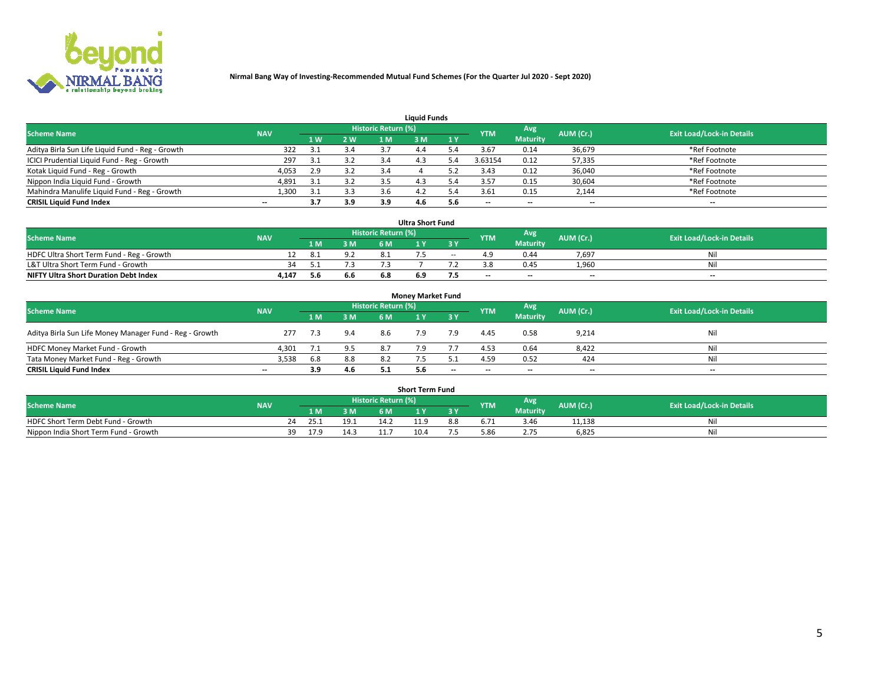

| <b>Liquid Funds</b>                              |                                                                                           |     |     |     |     |     |         |                 |        |                                  |  |  |  |  |  |
|--------------------------------------------------|-------------------------------------------------------------------------------------------|-----|-----|-----|-----|-----|---------|-----------------|--------|----------------------------------|--|--|--|--|--|
|                                                  | Historic Return (%)<br>Avg<br><b>Scheme Name</b><br>AUM (Cr.)<br><b>NAV</b><br><b>YTM</b> |     |     |     |     |     |         |                 |        |                                  |  |  |  |  |  |
|                                                  |                                                                                           | 4W  | 2 W | 1 M | M   | 1 Y |         | <b>Maturity</b> |        | <b>Exit Load/Lock-in Details</b> |  |  |  |  |  |
| Aditya Birla Sun Life Liquid Fund - Reg - Growth | 322                                                                                       | 31  | 3.4 |     |     |     | 3.67    | 0.14            | 36,679 | *Ref Footnote                    |  |  |  |  |  |
| ICICI Prudential Liquid Fund - Reg - Growth      | 297                                                                                       | 3.1 | 3.2 | 3.4 | 4.3 |     | 3.63154 | 0.12            | 57,335 | *Ref Footnote                    |  |  |  |  |  |
| Kotak Liquid Fund - Reg - Growth                 | 4,053                                                                                     | 2.9 | 3.2 |     |     |     | 3.43    | 0.12            | 36,040 | *Ref Footnote                    |  |  |  |  |  |
| Nippon India Liquid Fund - Growth                | 4,891                                                                                     | 31  | 3.2 |     | 4.3 |     | 3.57    | 0.15            | 30,604 | *Ref Footnote                    |  |  |  |  |  |
| Mahindra Manulife Liquid Fund - Reg - Growth     | 1,300                                                                                     | 3.1 | 3.3 | 3.6 | 4.2 |     | 3.61    | 0.15            | 2,144  | *Ref Footnote                    |  |  |  |  |  |
| <b>CRISIL Liquid Fund Index</b>                  | $- -$                                                                                     | 3.7 | 3.9 | 3.9 | 4.6 | 5.6 | --      | $- -$           | --     | $\overline{\phantom{a}}$         |  |  |  |  |  |

| <b>Ultra Short Fund</b>                      |            |      |     |                            |     |        |            |                 |                          |                                  |  |  |  |  |
|----------------------------------------------|------------|------|-----|----------------------------|-----|--------|------------|-----------------|--------------------------|----------------------------------|--|--|--|--|
| <b>Scheme Name</b>                           | <b>NAV</b> |      |     | <b>Historic Return (%)</b> |     |        | <b>YTM</b> | <b>Avg</b>      | AUM (Cr.)                | <b>Exit Load/Lock-in Details</b> |  |  |  |  |
|                                              |            | 1 M. | 3 M | 6 M                        |     | 3 Y    |            | <b>Maturity</b> |                          |                                  |  |  |  |  |
| HDFC Ultra Short Term Fund - Reg - Growth    |            |      | 9.2 |                            |     | $\sim$ |            | 0.44            | 7,697                    | Nil                              |  |  |  |  |
| L&T Ultra Short Term Fund - Growth           | 34         |      |     |                            |     |        |            | 0.45            | 1.960                    | Nil                              |  |  |  |  |
| <b>NIFTY Ultra Short Duration Debt Index</b> | 4,147      | 5.6  | 6.6 | 6.8                        | 6.9 |        | $- -$      | $- -$           | $\overline{\phantom{a}}$ | $- -$                            |  |  |  |  |

| <b>Money Market Fund</b>                                |            |     |     |                     |     |           |                          |                 |                          |                                  |  |  |  |  |
|---------------------------------------------------------|------------|-----|-----|---------------------|-----|-----------|--------------------------|-----------------|--------------------------|----------------------------------|--|--|--|--|
| <b>Scheme Name</b>                                      | <b>NAV</b> |     |     | Historic Return (%) |     |           | <b>YTM</b>               | Avg             | AUM (Cr.)                | <b>Exit Load/Lock-in Details</b> |  |  |  |  |
|                                                         |            | 1 M | 3 M | 6 M                 |     | <b>3Y</b> |                          | <b>Maturity</b> |                          |                                  |  |  |  |  |
| Aditya Birla Sun Life Money Manager Fund - Reg - Growth | 277        | 7.3 | 9.4 | 8.6                 |     | 7.9       | 4.45                     | 0.58            | 9,214                    | Nil                              |  |  |  |  |
| HDFC Money Market Fund - Growth                         | 4,301      |     | 9.5 |                     |     |           | 4.53                     | 0.64            | 8,422                    | Nil                              |  |  |  |  |
| Tata Money Market Fund - Reg - Growth                   | 3,538      | 6.8 | 8.8 |                     |     |           | 4.59                     | 0.52            | 424                      | Nil                              |  |  |  |  |
| <b>CRISIL Liquid Fund Index</b>                         | $- -$      | 3.9 | 4.6 |                     | 5.6 | $- -$     | $\overline{\phantom{a}}$ | $- -$           | $\overline{\phantom{a}}$ | $- -$                            |  |  |  |  |

|                                       |            |            |     |                     | <b>Short Term Fund</b> |     |            |                 |           |                                  |
|---------------------------------------|------------|------------|-----|---------------------|------------------------|-----|------------|-----------------|-----------|----------------------------------|
| <b>Scheme Name</b>                    | <b>NAV</b> |            |     | Historic Return (%) |                        |     | <b>YTM</b> | Avg             | AUM (Cr.) | <b>Exit Load/Lock-in Details</b> |
|                                       |            | LM.        | 3 M | 6 M.                | $\mathbf{v}$           | 3 Y |            | <b>Maturity</b> |           |                                  |
| HDFC Short Term Debt Fund - Growth    |            |            |     |                     |                        | 8.8 |            | 3.46            | 11,138    | M                                |
| Nippon India Short Term Fund - Growth |            | 17.9<br>39 |     |                     | 10.4                   |     |            |                 | 6,825     | N                                |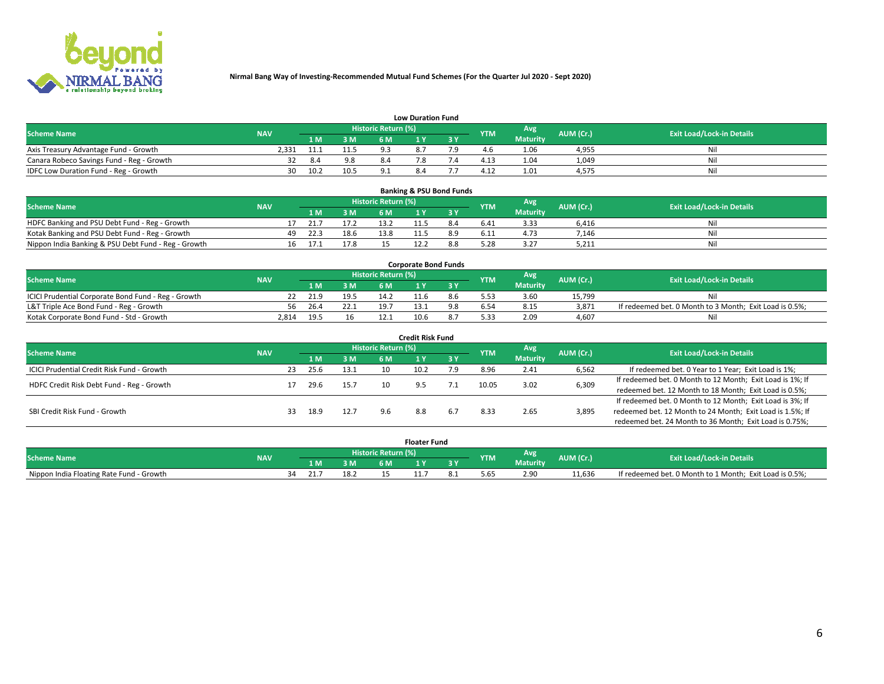

|                                           | <b>Low Duration Fund</b> |      |      |                            |     |  |            |                 |           |                                  |  |  |  |  |  |
|-------------------------------------------|--------------------------|------|------|----------------------------|-----|--|------------|-----------------|-----------|----------------------------------|--|--|--|--|--|
| <b>Scheme Name</b>                        | <b>NAV</b>               |      |      | <b>Historic Return (%)</b> |     |  | <b>YTM</b> | Avg             | AUM (Cr.) | <b>Exit Load/Lock-in Details</b> |  |  |  |  |  |
|                                           |                          | 1 M. | 3 M  |                            |     |  |            | <b>Maturity</b> |           |                                  |  |  |  |  |  |
| Axis Treasury Advantage Fund - Growth     | 2.331                    | 11.1 | 11.5 | οs                         |     |  |            | 1.06            | 4,955     | Nil                              |  |  |  |  |  |
| Canara Robeco Savings Fund - Reg - Growth |                          |      | 9.8  |                            |     |  | 4.13       | 1.04            | 1,049     | Nil                              |  |  |  |  |  |
| IDFC Low Duration Fund - Reg - Growth     | 30                       | 10.2 | 10.5 |                            | 8.4 |  | 4.12       | 1.01            | 4,575     | Nil                              |  |  |  |  |  |

| <b>Banking &amp; PSU Bond Funds</b>                 |            |    |      |      |                     |  |     |            |                 |           |                                  |  |  |  |
|-----------------------------------------------------|------------|----|------|------|---------------------|--|-----|------------|-----------------|-----------|----------------------------------|--|--|--|
| <b>Scheme Name</b>                                  | <b>NAV</b> |    |      |      | Historic Return (%) |  |     | <b>YTM</b> | Avg             | AUM (Cr.) | <b>Exit Load/Lock-in Details</b> |  |  |  |
|                                                     |            |    | 1 M  | 3 M  | 6 M                 |  |     |            | <b>Maturity</b> |           |                                  |  |  |  |
| HDFC Banking and PSU Debt Fund - Reg - Growth       |            |    | 21.7 | 17.2 |                     |  | 8.4 | 6.41       | 3.33            | 6.416     | Ni                               |  |  |  |
| Kotak Banking and PSU Debt Fund - Reg - Growth      |            | 49 | 22.3 | 18.6 | 13.8                |  |     | 6.11       | 4.73            | 7,146     | Ni                               |  |  |  |
| Nippon India Banking & PSU Debt Fund - Reg - Growth |            | 16 | 17.1 | 17.8 |                     |  |     |            | 3.27            | 5,211     | Ni                               |  |  |  |

| <b>Corporate Bond Funds</b>                         |            |      |      |                            |      |  |            |          |           |                                                         |  |  |  |  |
|-----------------------------------------------------|------------|------|------|----------------------------|------|--|------------|----------|-----------|---------------------------------------------------------|--|--|--|--|
| <b>Scheme Name</b>                                  | <b>NAV</b> |      |      | <b>Historic Return (%)</b> |      |  | <b>YTM</b> | Avg      | AUM (Cr.) | <b>Exit Load/Lock-in Details</b>                        |  |  |  |  |
|                                                     |            |      | 3 M  | 6 M                        |      |  |            | Maturity |           |                                                         |  |  |  |  |
| ICICI Prudential Corporate Bond Fund - Reg - Growth |            | 21.9 | 19.5 | 14.2                       |      |  |            | 3.60     | 15.799    | Nil                                                     |  |  |  |  |
| L&T Triple Ace Bond Fund - Reg - Growth             | 56         | 26.4 | 22.1 | 19.7                       |      |  |            | 8.15     | 3,871     | If redeemed bet. 0 Month to 3 Month; Exit Load is 0.5%; |  |  |  |  |
| Kotak Corporate Bond Fund - Std - Growth            | 2.814      | 19.5 |      |                            | 10.6 |  | 5.33       | 2.09     | 4.607     | Nil                                                     |  |  |  |  |

| <b>Credit Risk Fund</b>                    |            |    |      |      |                            |      |       |            |                 |                                                           |                                                           |  |
|--------------------------------------------|------------|----|------|------|----------------------------|------|-------|------------|-----------------|-----------------------------------------------------------|-----------------------------------------------------------|--|
| <b>Scheme Name</b>                         | <b>NAV</b> |    |      |      | <b>Historic Return (%)</b> |      |       | <b>YTM</b> | Avg             | AUM (Cr.)                                                 | <b>Exit Load/Lock-in Details</b>                          |  |
|                                            |            |    | 1 M  | 3M   | 6 M                        |      | 73 Y. |            | <b>Maturity</b> |                                                           |                                                           |  |
| ICICI Prudential Credit Risk Fund - Growth |            | 23 | 25.6 | 13.1 |                            | 10.2 | و.י   | 8.96       | 2.41            | 6,562                                                     | If redeemed bet. 0 Year to 1 Year; Exit Load is 1%;       |  |
| HDFC Credit Risk Debt Fund - Reg - Growth  |            |    | 29.6 | 15.7 |                            |      |       | 10.05      | 3.02            | 6,309                                                     | If redeemed bet. 0 Month to 12 Month; Exit Load is 1%; If |  |
|                                            |            |    |      |      |                            |      |       |            |                 |                                                           | redeemed bet. 12 Month to 18 Month; Exit Load is 0.5%;    |  |
|                                            |            |    |      |      |                            |      |       |            |                 |                                                           | If redeemed bet. 0 Month to 12 Month; Exit Load is 3%; If |  |
| SBI Credit Risk Fund - Growth              |            | 33 | 18.9 | 12.7 | 9.6                        | 8.8  | 6.7   | 8.33       | 3,895<br>2.65   | redeemed bet. 12 Month to 24 Month; Exit Load is 1.5%; If |                                                           |  |
|                                            |            |    |      |      |                            |      |       |            |                 |                                                           | redeemed bet. 24 Month to 36 Month; Exit Load is 0.75%;   |  |

| <b>Floater Fund</b>                      |            |                            |     |    |     |      |     |           |          |           |                                                         |
|------------------------------------------|------------|----------------------------|-----|----|-----|------|-----|-----------|----------|-----------|---------------------------------------------------------|
| <b>Scheme Name</b>                       | <b>NAV</b> | <b>Historic Return (%)</b> |     |    |     |      |     | <b>TM</b> | Avg.     | AUM (Cr.) | <b>Exit Load/Lock-in Details</b>                        |
|                                          |            |                            | 1 M | ЗM | 6 M |      | o v |           | Maturity |           |                                                         |
| Nippon India Floating Rate Fund - Growth |            |                            | 21. |    |     | 11.7 |     | לס.כ      | 2.90     | 11.636    | If redeemed bet. 0 Month to 1 Month; Exit Load is 0.5%; |